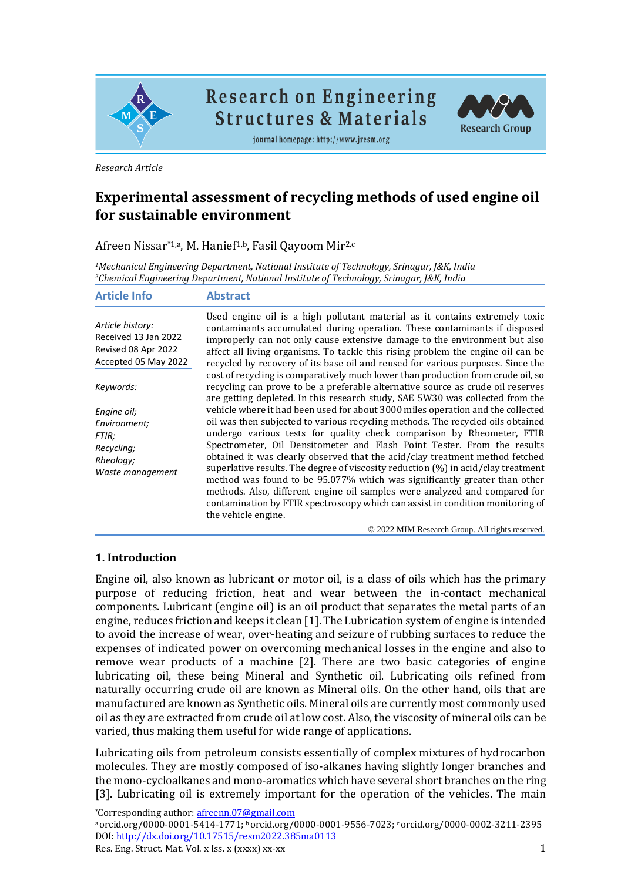

**Research on Engineering Structures & Materials** 



journal homepage: http://www.jresm.org

*Research Article*

# **Experimental assessment of recycling methods of used engine oil for sustainable environment**

Afreen Nissar\*1,a, M. Hanief<sup>1,b</sup>, Fasil Qayoom Mir<sup>2,c</sup>

*<sup>1</sup>Mechanical Engineering Department, National Institute of Technology, Srinagar, J&K, India <sup>2</sup>Chemical Engineering Department, National Institute of Technology, Srinagar, J&K, India*

| <b>Article Info</b>                                                                     | <b>Abstract</b>                                                                                                                                                                                                                                                                                                                                                                                                                                                                                                                                                                                                                                                                                                                                                    |
|-----------------------------------------------------------------------------------------|--------------------------------------------------------------------------------------------------------------------------------------------------------------------------------------------------------------------------------------------------------------------------------------------------------------------------------------------------------------------------------------------------------------------------------------------------------------------------------------------------------------------------------------------------------------------------------------------------------------------------------------------------------------------------------------------------------------------------------------------------------------------|
| Article history:<br>Received 13 Jan 2022<br>Revised 08 Apr 2022<br>Accepted 05 May 2022 | Used engine oil is a high pollutant material as it contains extremely toxic<br>contaminants accumulated during operation. These contaminants if disposed<br>improperly can not only cause extensive damage to the environment but also<br>affect all living organisms. To tackle this rising problem the engine oil can be<br>recycled by recovery of its base oil and reused for various purposes. Since the                                                                                                                                                                                                                                                                                                                                                      |
| Keywords:                                                                               | cost of recycling is comparatively much lower than production from crude oil, so<br>recycling can prove to be a preferable alternative source as crude oil reserves<br>are getting depleted. In this research study, SAE 5W30 was collected from the                                                                                                                                                                                                                                                                                                                                                                                                                                                                                                               |
| Engine oil;<br>Environment;<br>FTIR;<br>Recycling;<br>Rheoloav;<br>Waste management     | vehicle where it had been used for about 3000 miles operation and the collected<br>oil was then subjected to various recycling methods. The recycled oils obtained<br>undergo various tests for quality check comparison by Rheometer, FTIR<br>Spectrometer, Oil Densitometer and Flash Point Tester. From the results<br>obtained it was clearly observed that the acid/clay treatment method fetched<br>superlative results. The degree of viscosity reduction $(\%)$ in acid/clay treatment<br>method was found to be 95.077% which was significantly greater than other<br>methods. Also, different engine oil samples were analyzed and compared for<br>contamination by FTIR spectroscopy which can assist in condition monitoring of<br>the vehicle engine. |
|                                                                                         |                                                                                                                                                                                                                                                                                                                                                                                                                                                                                                                                                                                                                                                                                                                                                                    |

© 2022 MIM Research Group. All rights reserved.

#### **1. Introduction**

Engine oil, also known as lubricant or motor oil, is a class of oils which has the primary purpose of reducing friction, heat and wear between the in-contact mechanical components. Lubricant (engine oil) is an oil product that separates the metal parts of an engine, reduces friction and keeps it clean [1]. The Lubrication system of engine is intended to avoid the increase of wear, over-heating and seizure of rubbing surfaces to reduce the expenses of indicated power on overcoming mechanical losses in the engine and also to remove wear products of a machine [2]. There are two basic categories of engine lubricating oil, these being Mineral and Synthetic oil. Lubricating oils refined from naturally occurring crude oil are known as Mineral oils. On the other hand, oils that are manufactured are known as Synthetic oils. Mineral oils are currently most commonly used oil as they are extracted from crude oil at low cost. Also, the viscosity of mineral oils can be varied, thus making them useful for wide range of applications.

Lubricating oils from petroleum consists essentially of complex mixtures of hydrocarbon molecules. They are mostly composed of iso-alkanes having slightly longer branches and the mono-cycloalkanes and mono-aromatics which have several short branches on the ring [3]. Lubricating oil is extremely important for the operation of the vehicles. The main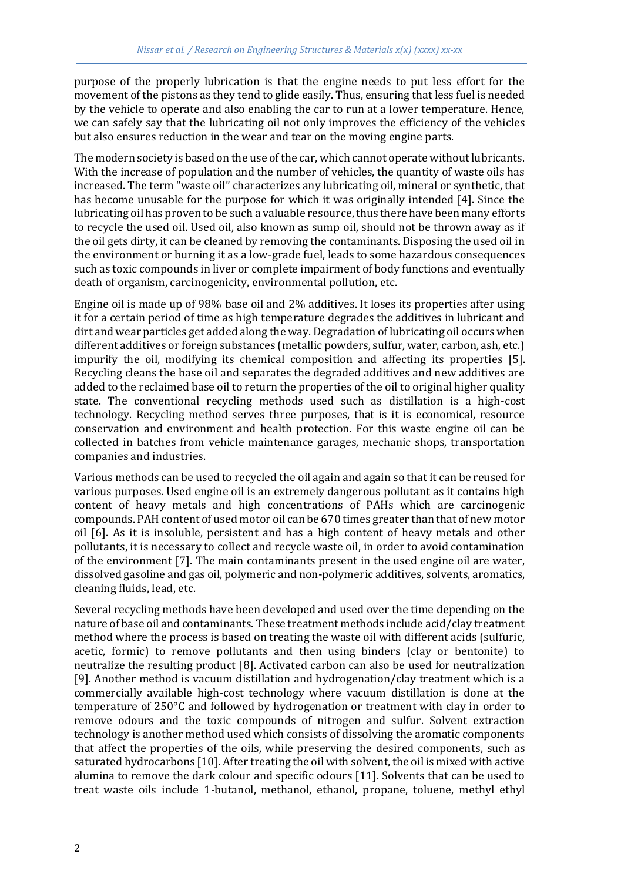purpose of the properly lubrication is that the engine needs to put less effort for the movement of the pistons as they tend to glide easily. Thus, ensuring that less fuel is needed by the vehicle to operate and also enabling the car to run at a lower temperature. Hence, we can safely say that the lubricating oil not only improves the efficiency of the vehicles but also ensures reduction in the wear and tear on the moving engine parts.

The modern society is based on the use of the car, which cannot operate without lubricants. With the increase of population and the number of vehicles, the quantity of waste oils has increased. The term "waste oil" characterizes any lubricating oil, mineral or synthetic, that has become unusable for the purpose for which it was originally intended [4]. Since the lubricating oil has proven to be such a valuable resource, thus there have been many efforts to recycle the used oil. Used oil, also known as sump oil, should not be thrown away as if the oil gets dirty, it can be cleaned by removing the contaminants. Disposing the used oil in the environment or burning it as a low-grade fuel, leads to some hazardous consequences such as toxic compounds in liver or complete impairment of body functions and eventually death of organism, carcinogenicity, environmental pollution, etc.

Engine oil is made up of 98% base oil and 2% additives. It loses its properties after using it for a certain period of time as high temperature degrades the additives in lubricant and dirt and wear particles get added along the way. Degradation of lubricating oil occurs when different additives or foreign substances (metallic powders, sulfur, water, carbon, ash, etc.) impurify the oil, modifying its chemical composition and affecting its properties [5]. Recycling cleans the base oil and separates the degraded additives and new additives are added to the reclaimed base oil to return the properties of the oil to original higher quality state. The conventional recycling methods used such as distillation is a high-cost technology. Recycling method serves three purposes, that is it is economical, resource conservation and environment and health protection. For this waste engine oil can be collected in batches from vehicle maintenance garages, mechanic shops, transportation companies and industries.

Various methods can be used to recycled the oil again and again so that it can be reused for various purposes. Used engine oil is an extremely dangerous pollutant as it contains high content of heavy metals and high concentrations of PAHs which are carcinogenic compounds. PAH content of used motor oil can be 670 times greater than that of new motor oil [6]. As it is insoluble, persistent and has a high content of heavy metals and other pollutants, it is necessary to collect and recycle waste oil, in order to avoid contamination of the environment [7]. The main contaminants present in the used engine oil are water, dissolved gasoline and gas oil, polymeric and non-polymeric additives, solvents, aromatics, cleaning fluids, lead, etc.

Several recycling methods have been developed and used over the time depending on the nature of base oil and contaminants. These treatment methods include acid/clay treatment method where the process is based on treating the waste oil with different acids (sulfuric, acetic, formic) to remove pollutants and then using binders (clay or bentonite) to neutralize the resulting product [8]. Activated carbon can also be used for neutralization [9]. Another method is vacuum distillation and hydrogenation/clay treatment which is a commercially available high-cost technology where vacuum distillation is done at the temperature of 250°C and followed by hydrogenation or treatment with clay in order to remove odours and the toxic compounds of nitrogen and sulfur. Solvent extraction technology is another method used which consists of dissolving the aromatic components that affect the properties of the oils, while preserving the desired components, such as saturated hydrocarbons [10]. After treating the oil with solvent, the oil is mixed with active alumina to remove the dark colour and specific odours [11]. Solvents that can be used to treat waste oils include 1-butanol, methanol, ethanol, propane, toluene, methyl ethyl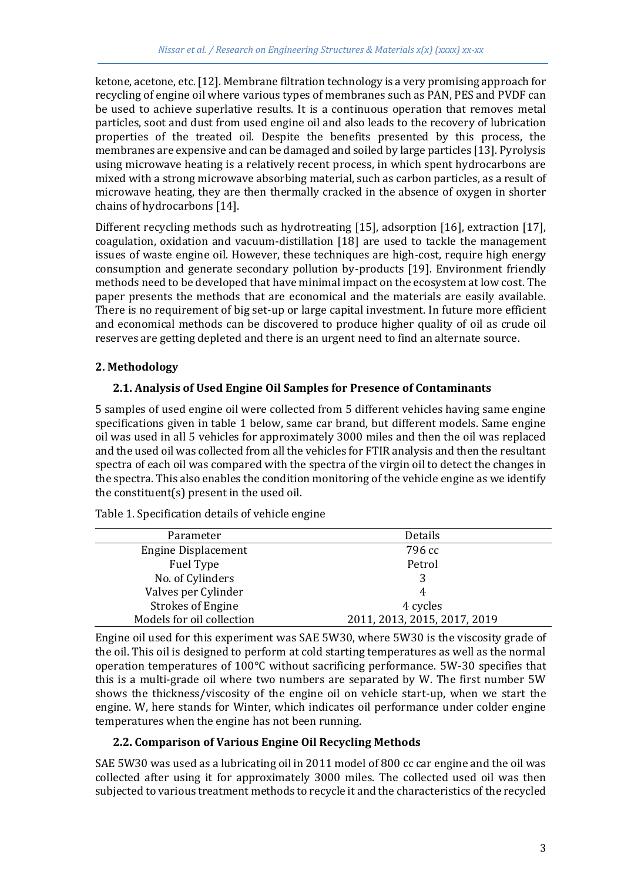ketone, acetone, etc. [12]. Membrane filtration technology is a very promising approach for recycling of engine oil where various types of membranes such as PAN, PES and PVDF can be used to achieve superlative results. It is a continuous operation that removes metal particles, soot and dust from used engine oil and also leads to the recovery of lubrication properties of the treated oil. Despite the benefits presented by this process, the membranes are expensive and can be damaged and soiled by large particles [13]. Pyrolysis using microwave heating is a relatively recent process, in which spent hydrocarbons are mixed with a strong microwave absorbing material, such as carbon particles, as a result of microwave heating, they are then thermally cracked in the absence of oxygen in shorter chains of hydrocarbons [14].

Different recycling methods such as hydrotreating [15], adsorption [16], extraction [17], coagulation, oxidation and vacuum-distillation [18] are used to tackle the management issues of waste engine oil. However, these techniques are high-cost, require high energy consumption and generate secondary pollution by-products [19]. Environment friendly methods need to be developed that have minimal impact on the ecosystem at low cost. The paper presents the methods that are economical and the materials are easily available. There is no requirement of big set-up or large capital investment. In future more efficient and economical methods can be discovered to produce higher quality of oil as crude oil reserves are getting depleted and there is an urgent need to find an alternate source.

# **2. Methodology**

# **2.1. Analysis of Used Engine Oil Samples for Presence of Contaminants**

5 samples of used engine oil were collected from 5 different vehicles having same engine specifications given in table 1 below, same car brand, but different models. Same engine oil was used in all 5 vehicles for approximately 3000 miles and then the oil was replaced and the used oil was collected from all the vehicles for FTIR analysis and then the resultant spectra of each oil was compared with the spectra of the virgin oil to detect the changes in the spectra. This also enables the condition monitoring of the vehicle engine as we identify the constituent(s) present in the used oil.

| Parameter                 | Details                      |
|---------------------------|------------------------------|
| Engine Displacement       | 796 cc                       |
| Fuel Type                 | Petrol                       |
| No. of Cylinders          |                              |
| Valves per Cylinder       | 4                            |
| Strokes of Engine         | 4 cycles                     |
| Models for oil collection | 2011, 2013, 2015, 2017, 2019 |

Table 1. Specification details of vehicle engine

Engine oil used for this experiment was SAE 5W30, where 5W30 is the viscosity grade of the oil. This oil is designed to perform at cold starting temperatures as well as the normal operation temperatures of 100°C without sacrificing performance. 5W-30 specifies that this is a multi-grade oil where two numbers are separated by W. The first number 5W shows the thickness/viscosity of the engine oil on vehicle start-up, when we start the engine. W, here stands for Winter, which indicates oil performance under colder engine temperatures when the engine has not been running.

# **2.2. Comparison of Various Engine Oil Recycling Methods**

SAE 5W30 was used as a lubricating oil in 2011 model of 800 cc car engine and the oil was collected after using it for approximately 3000 miles. The collected used oil was then subjected to various treatment methods to recycle it and the characteristics of the recycled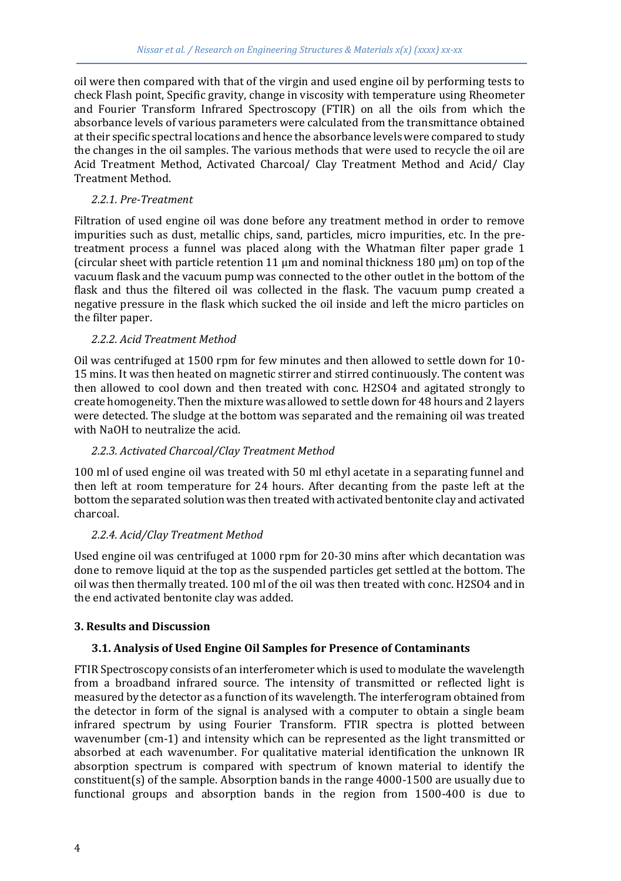oil were then compared with that of the virgin and used engine oil by performing tests to check Flash point, Specific gravity, change in viscosity with temperature using Rheometer and Fourier Transform Infrared Spectroscopy (FTIR) on all the oils from which the absorbance levels of various parameters were calculated from the transmittance obtained at their specific spectral locations and hence the absorbance levels were compared to study the changes in the oil samples. The various methods that were used to recycle the oil are Acid Treatment Method, Activated Charcoal/ Clay Treatment Method and Acid/ Clay Treatment Method.

#### *2.2.1. Pre-Treatment*

Filtration of used engine oil was done before any treatment method in order to remove impurities such as dust, metallic chips, sand, particles, micro impurities, etc. In the pretreatment process a funnel was placed along with the Whatman filter paper grade 1 (circular sheet with particle retention 11  $\mu$ m and nominal thickness 180  $\mu$ m) on top of the vacuum flask and the vacuum pump was connected to the other outlet in the bottom of the flask and thus the filtered oil was collected in the flask. The vacuum pump created a negative pressure in the flask which sucked the oil inside and left the micro particles on the filter paper.

# *2.2.2. Acid Treatment Method*

Oil was centrifuged at 1500 rpm for few minutes and then allowed to settle down for 10- 15 mins. It was then heated on magnetic stirrer and stirred continuously. The content was then allowed to cool down and then treated with conc. H2SO4 and agitated strongly to create homogeneity. Then the mixture was allowed to settle down for 48 hours and 2 layers were detected. The sludge at the bottom was separated and the remaining oil was treated with NaOH to neutralize the acid.

# *2.2.3. Activated Charcoal/Clay Treatment Method*

100 ml of used engine oil was treated with 50 ml ethyl acetate in a separating funnel and then left at room temperature for 24 hours. After decanting from the paste left at the bottom the separated solution was then treated with activated bentonite clay and activated charcoal.

# *2.2.4. Acid/Clay Treatment Method*

Used engine oil was centrifuged at 1000 rpm for 20-30 mins after which decantation was done to remove liquid at the top as the suspended particles get settled at the bottom. The oil was then thermally treated. 100 ml of the oil was then treated with conc. H2SO4 and in the end activated bentonite clay was added.

# **3. Results and Discussion**

# **3.1. Analysis of Used Engine Oil Samples for Presence of Contaminants**

FTIR Spectroscopy consists of an interferometer which is used to modulate the wavelength from a broadband infrared source. The intensity of transmitted or reflected light is measured by the detector as a function of its wavelength. The interferogram obtained from the detector in form of the signal is analysed with a computer to obtain a single beam infrared spectrum by using Fourier Transform. FTIR spectra is plotted between wavenumber (cm-1) and intensity which can be represented as the light transmitted or absorbed at each wavenumber. For qualitative material identification the unknown IR absorption spectrum is compared with spectrum of known material to identify the constituent(s) of the sample. Absorption bands in the range 4000-1500 are usually due to functional groups and absorption bands in the region from 1500-400 is due to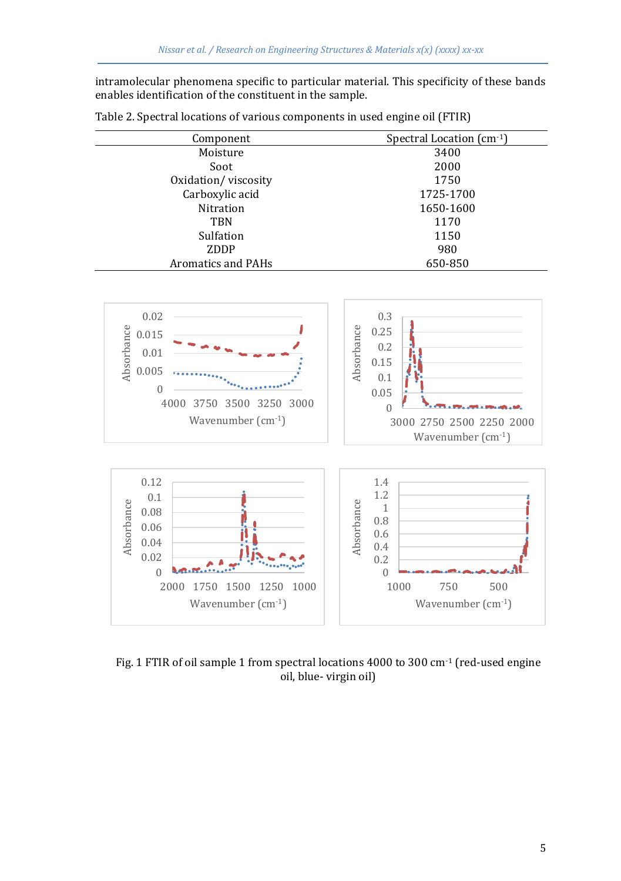intramolecular phenomena specific to particular material. This specificity of these bands enables identification of the constituent in the sample.

| Component           | Spectral Location (cm-1) |
|---------------------|--------------------------|
| Moisture            | 3400                     |
| Soot                | 2000                     |
| Oxidation/viscosity | 1750                     |
| Carboxylic acid     | 1725-1700                |
| Nitration           | 1650-1600                |
| <b>TBN</b>          | 1170                     |
| Sulfation           | 1150                     |
| ZDDP                | 980                      |
| Aromatics and PAHs  | 650-850                  |

Table 2. Spectral locations of various components in used engine oil (FTIR)



Fig. 1 FTIR of oil sample 1 from spectral locations 4000 to 300 cm<sup>-1</sup> (red-used engine oil, blue- virgin oil)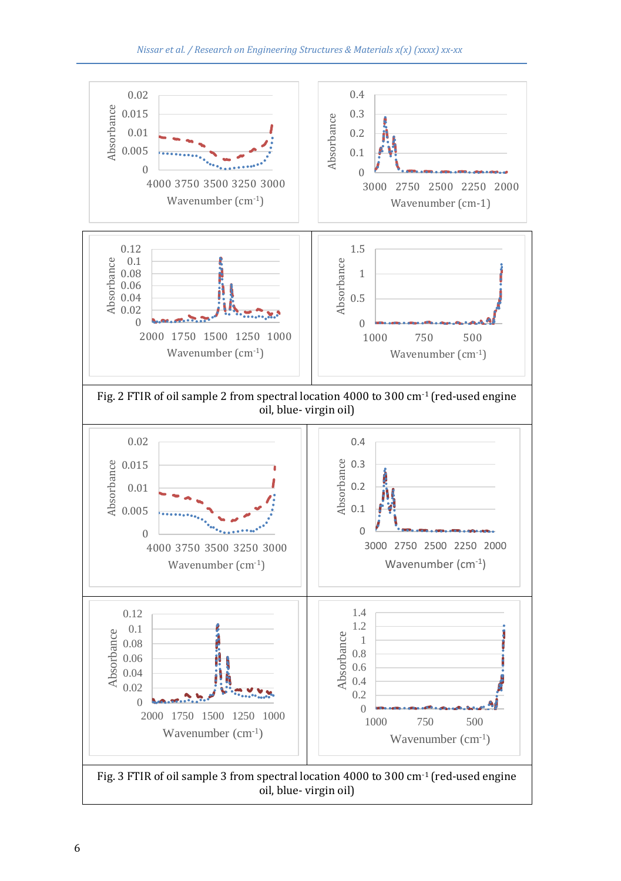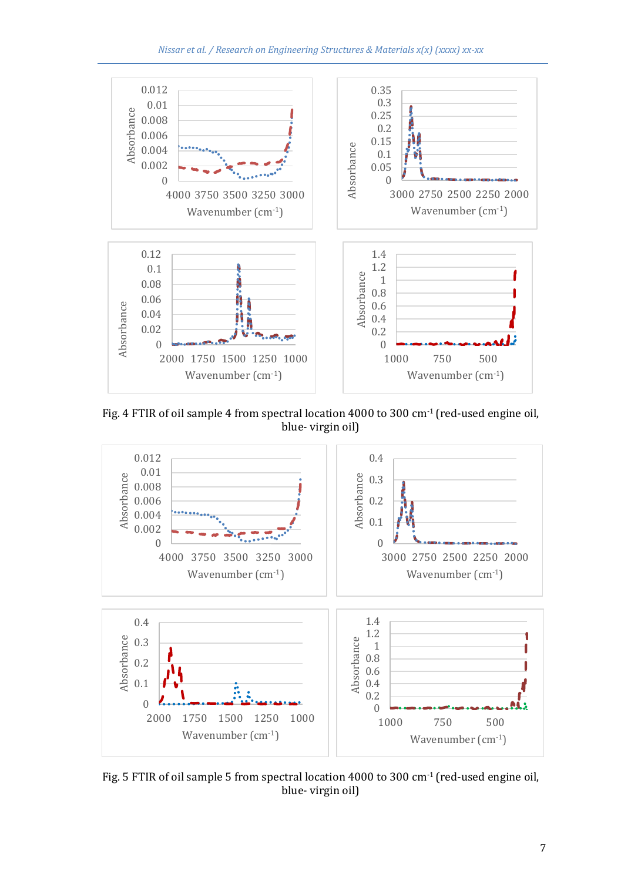

Fig. 4 FTIR of oil sample 4 from spectral location 4000 to 300 cm-1 (red-used engine oil, blue- virgin oil)



Fig. 5 FTIR of oil sample 5 from spectral location 4000 to 300 cm<sup>-1</sup> (red-used engine oil, blue- virgin oil)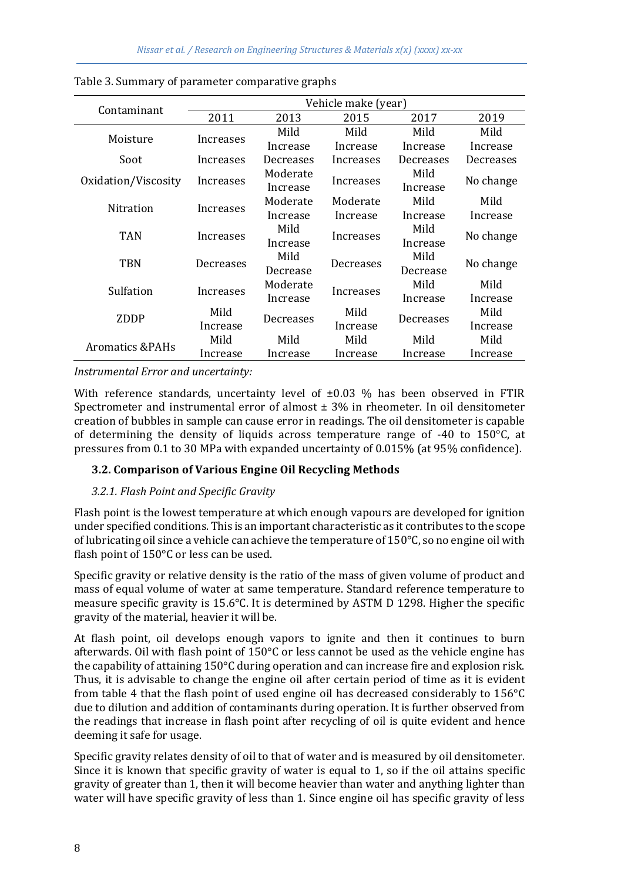|                     | Vehicle make (year) |           |           |           |           |
|---------------------|---------------------|-----------|-----------|-----------|-----------|
| Contaminant         | 2011                | 2013      | 2015      | 2017      | 2019      |
|                     |                     | Mild      | Mild      | Mild      | Mild      |
| Moisture            | Increases           | Increase  | Increase  | Increase  | Increase  |
| Soot                | Increases           | Decreases | Increases | Decreases | Decreases |
|                     |                     | Moderate  |           | Mild      |           |
| Oxidation/Viscosity | Increases           | Increase  | Increases | Increase  | No change |
| Nitration           |                     | Moderate  | Moderate  | Mild      | Mild      |
|                     | Increases           | Increase  | Increase  | Increase  | Increase  |
| <b>TAN</b>          | Increases           | Mild      | Increases | Mild      |           |
|                     |                     | Increase  |           | Increase  | No change |
| TBN                 | Decreases           | Mild      | Decreases | Mild      |           |
|                     |                     | Decrease  |           | Decrease  | No change |
| Sulfation           | Increases           | Moderate  | Increases | Mild      | Mild      |
|                     |                     | Increase  |           | Increase  | Increase  |
| ZDDP                | Mild                |           | Mild      |           | Mild      |
|                     | Increase            | Decreases | Increase  | Decreases | Increase  |
| Aromatics & PAHs    | Mild                | Mild      | Mild      | Mild      | Mild      |
|                     | Increase            | Increase  | Increase  | Increase  | Increase  |

Table 3. Summary of parameter comparative graphs

*Instrumental Error and uncertainty:*

With reference standards, uncertainty level of  $\pm 0.03$  % has been observed in FTIR Spectrometer and instrumental error of almost  $\pm$  3% in rheometer. In oil densitometer creation of bubbles in sample can cause error in readings. The oil densitometer is capable of determining the density of liquids across temperature range of  $-40$  to  $150^{\circ}$ C, at pressures from 0.1 to 30 MPa with expanded uncertainty of 0.015% (at 95% confidence).

# **3.2. Comparison of Various Engine Oil Recycling Methods**

# *3.2.1. Flash Point and Specific Gravity*

Flash point is the lowest temperature at which enough vapours are developed for ignition under specified conditions. This is an important characteristic as it contributes to the scope of lubricating oil since a vehicle can achieve the temperature of  $150^{\circ}$ C, so no engine oil with flash point of 150°C or less can be used.

Specific gravity or relative density is the ratio of the mass of given volume of product and mass of equal volume of water at same temperature. Standard reference temperature to measure specific gravity is 15.6°C. It is determined by ASTM D 1298. Higher the specific gravity of the material, heavier it will be.

At flash point, oil develops enough vapors to ignite and then it continues to burn afterwards. Oil with flash point of 150°C or less cannot be used as the vehicle engine has the capability of attaining 150°C during operation and can increase fire and explosion risk. Thus, it is advisable to change the engine oil after certain period of time as it is evident from table 4 that the flash point of used engine oil has decreased considerably to 156°C due to dilution and addition of contaminants during operation. It is further observed from the readings that increase in flash point after recycling of oil is quite evident and hence deeming it safe for usage.

Specific gravity relates density of oil to that of water and is measured by oil densitometer. Since it is known that specific gravity of water is equal to 1, so if the oil attains specific gravity of greater than 1, then it will become heavier than water and anything lighter than water will have specific gravity of less than 1. Since engine oil has specific gravity of less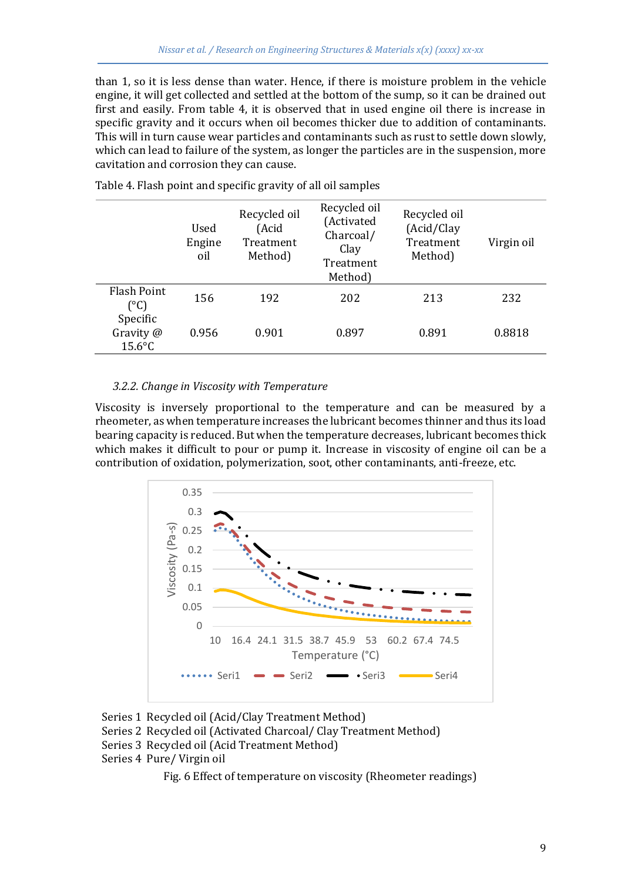than 1, so it is less dense than water. Hence, if there is moisture problem in the vehicle engine, it will get collected and settled at the bottom of the sump, so it can be drained out first and easily. From table 4, it is observed that in used engine oil there is increase in specific gravity and it occurs when oil becomes thicker due to addition of contaminants. This will in turn cause wear particles and contaminants such as rust to settle down slowly, which can lead to failure of the system, as longer the particles are in the suspension, more cavitation and corrosion they can cause.

|                                    | Used<br>Engine<br>oil | Recycled oil<br>(Acid<br>Treatment<br>Method) | Recycled oil<br>(Activated<br>Charcoal/<br>Clay<br>Treatment<br>Method) | Recycled oil<br>(Acid/Clay<br>Treatment<br>Method) | Virgin oil |
|------------------------------------|-----------------------|-----------------------------------------------|-------------------------------------------------------------------------|----------------------------------------------------|------------|
| Flash Point<br>(°C)                | 156                   | 192                                           | 202                                                                     | 213                                                | 232        |
| Specific<br>Gravity @<br>$15.6$ °C | 0.956                 | 0.901                                         | 0.897                                                                   | 0.891                                              | 0.8818     |

Table 4. Flash point and specific gravity of all oil samples

#### *3.2.2. Change in Viscosity with Temperature*

Viscosity is inversely proportional to the temperature and can be measured by a rheometer, as when temperature increases the lubricant becomes thinner and thus its load bearing capacity is reduced. But when the temperature decreases, lubricant becomes thick which makes it difficult to pour or pump it. Increase in viscosity of engine oil can be a contribution of oxidation, polymerization, soot, other contaminants, anti-freeze, etc.



Series 1 Recycled oil (Acid/Clay Treatment Method)

Series 2 Recycled oil (Activated Charcoal/ Clay Treatment Method)

- Series 3 Recycled oil (Acid Treatment Method)
- Series 4 Pure/ Virgin oil

Fig. 6 Effect of temperature on viscosity (Rheometer readings)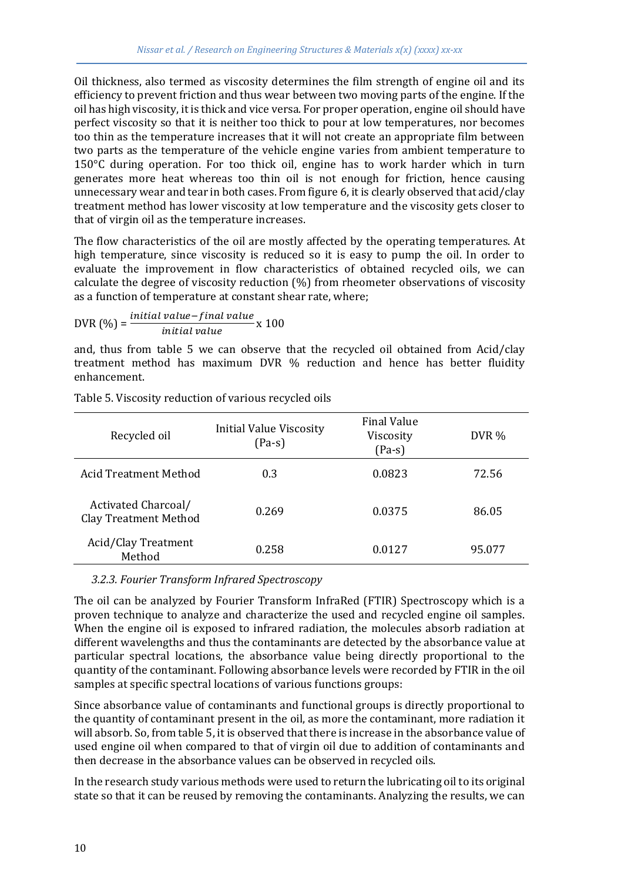Oil thickness, also termed as viscosity determines the film strength of engine oil and its efficiency to prevent friction and thus wear between two moving parts of the engine. If the oil has high viscosity, it is thick and vice versa. For proper operation, engine oil should have perfect viscosity so that it is neither too thick to pour at low temperatures, nor becomes too thin as the temperature increases that it will not create an appropriate film between two parts as the temperature of the vehicle engine varies from ambient temperature to 150°C during operation. For too thick oil, engine has to work harder which in turn generates more heat whereas too thin oil is not enough for friction, hence causing unnecessary wear and tear in both cases. From figure 6, it is clearly observed that acid/clay treatment method has lower viscosity at low temperature and the viscosity gets closer to that of virgin oil as the temperature increases.

The flow characteristics of the oil are mostly affected by the operating temperatures. At high temperature, since viscosity is reduced so it is easy to pump the oil. In order to evaluate the improvement in flow characteristics of obtained recycled oils, we can calculate the degree of viscosity reduction (%) from rheometer observations of viscosity as a function of temperature at constant shear rate, where;

$$
DVR\left(\% \right) = \frac{initial\ value - final\ value}{initial\ value} \times 100
$$

and, thus from table 5 we can observe that the recycled oil obtained from Acid/clay treatment method has maximum DVR % reduction and hence has better fluidity enhancement.

| Recycled oil                                        | <b>Initial Value Viscosity</b><br>$(Pa-s)$ | <b>Final Value</b><br>Viscosity<br>$(Pa-s)$ | DVR %  |
|-----------------------------------------------------|--------------------------------------------|---------------------------------------------|--------|
| Acid Treatment Method                               | 0.3                                        | 0.0823                                      | 72.56  |
| Activated Charcoal/<br><b>Clay Treatment Method</b> | 0.269                                      | 0.0375                                      | 86.05  |
| Acid/Clay Treatment<br>Method                       | 0.258                                      | 0.0127                                      | 95.077 |

Table 5. Viscosity reduction of various recycled oils

#### *3.2.3. Fourier Transform Infrared Spectroscopy*

The oil can be analyzed by Fourier Transform InfraRed (FTIR) Spectroscopy which is a proven technique to analyze and characterize the used and recycled engine oil samples. When the engine oil is exposed to infrared radiation, the molecules absorb radiation at different wavelengths and thus the contaminants are detected by the absorbance value at particular spectral locations, the absorbance value being directly proportional to the quantity of the contaminant. Following absorbance levels were recorded by FTIR in the oil samples at specific spectral locations of various functions groups:

Since absorbance value of contaminants and functional groups is directly proportional to the quantity of contaminant present in the oil, as more the contaminant, more radiation it will absorb. So, from table 5, it is observed that there is increase in the absorbance value of used engine oil when compared to that of virgin oil due to addition of contaminants and then decrease in the absorbance values can be observed in recycled oils.

In the research study various methods were used to return the lubricating oil to its original state so that it can be reused by removing the contaminants. Analyzing the results, we can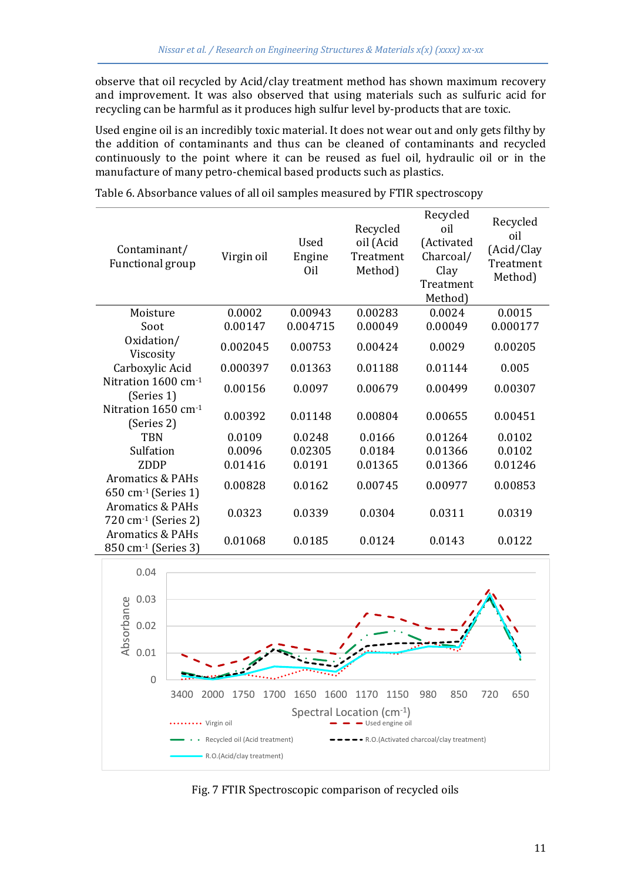observe that oil recycled by Acid/clay treatment method has shown maximum recovery and improvement. It was also observed that using materials such as sulfuric acid for recycling can be harmful as it produces high sulfur level by-products that are toxic.

Used engine oil is an incredibly toxic material. It does not wear out and only gets filthy by the addition of contaminants and thus can be cleaned of contaminants and recycled continuously to the point where it can be reused as fuel oil, hydraulic oil or in the manufacture of many petro-chemical based products such as plastics.

| Contaminant/<br>Functional group                               | Virgin oil | Used<br>Engine<br>Oil | Recycled<br>oil (Acid<br>Treatment<br>Method) | Recycled<br>oil<br>(Activated<br>Charcoal/<br>Clay<br>Treatment<br>Method) | Recycled<br>oil<br>(Acid/Clay<br>Treatment<br>Method) |
|----------------------------------------------------------------|------------|-----------------------|-----------------------------------------------|----------------------------------------------------------------------------|-------------------------------------------------------|
| Moisture                                                       | 0.0002     | 0.00943               | 0.00283                                       | 0.0024                                                                     | 0.0015                                                |
| Soot                                                           | 0.00147    | 0.004715              | 0.00049                                       | 0.00049                                                                    | 0.000177                                              |
| Oxidation/<br>Viscosity                                        | 0.002045   | 0.00753               | 0.00424                                       | 0.0029                                                                     | 0.00205                                               |
| Carboxylic Acid                                                | 0.000397   | 0.01363               | 0.01188                                       | 0.01144                                                                    | 0.005                                                 |
| Nitration 1600 cm-1<br>(Series 1)                              | 0.00156    | 0.0097                | 0.00679                                       | 0.00499                                                                    | 0.00307                                               |
| Nitration $1650 \text{ cm}^{-1}$<br>(Series 2)                 | 0.00392    | 0.01148               | 0.00804                                       | 0.00655                                                                    | 0.00451                                               |
| <b>TBN</b>                                                     | 0.0109     | 0.0248                | 0.0166                                        | 0.01264                                                                    | 0.0102                                                |
| Sulfation                                                      | 0.0096     | 0.02305               | 0.0184                                        | 0.01366                                                                    | 0.0102                                                |
| ZDDP                                                           | 0.01416    | 0.0191                | 0.01365                                       | 0.01366                                                                    | 0.01246                                               |
| <b>Aromatics &amp; PAHs</b><br>650 cm <sup>-1</sup> (Series 1) | 0.00828    | 0.0162                | 0.00745                                       | 0.00977                                                                    | 0.00853                                               |
| <b>Aromatics &amp; PAHs</b><br>720 cm <sup>-1</sup> (Series 2) | 0.0323     | 0.0339                | 0.0304                                        | 0.0311                                                                     | 0.0319                                                |
| <b>Aromatics &amp; PAHs</b><br>850 cm <sup>-1</sup> (Series 3) | 0.01068    | 0.0185                | 0.0124                                        | 0.0143                                                                     | 0.0122                                                |

Table 6. Absorbance values of all oil samples measured by FTIR spectroscopy



Fig. 7 FTIR Spectroscopic comparison of recycled oils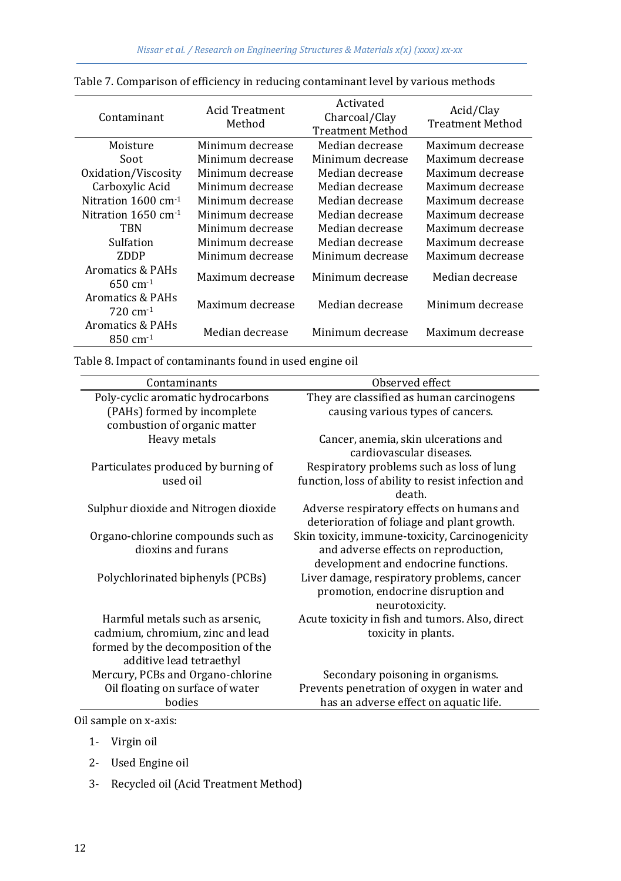| Contaminant                                            | Acid Treatment<br>Method | Activated<br>Charcoal/Clay<br><b>Treatment Method</b> | Acid/Clay<br><b>Treatment Method</b> |
|--------------------------------------------------------|--------------------------|-------------------------------------------------------|--------------------------------------|
| Moisture                                               | Minimum decrease         | Median decrease                                       | Maximum decrease                     |
| Soot                                                   | Minimum decrease         | Minimum decrease                                      | Maximum decrease                     |
| Oxidation/Viscosity                                    | Minimum decrease         | Median decrease                                       | Maximum decrease                     |
| Carboxylic Acid                                        | Minimum decrease         | Median decrease                                       | Maximum decrease                     |
| Nitration $1600 \text{ cm}^{-1}$                       | Minimum decrease         | Median decrease                                       | Maximum decrease                     |
| Nitration $1650 \text{ cm}^{-1}$                       | Minimum decrease         | Median decrease                                       | Maximum decrease                     |
| TBN                                                    | Minimum decrease         | Median decrease                                       | Maximum decrease                     |
| Sulfation                                              | Minimum decrease         | Median decrease                                       | Maximum decrease                     |
| ZDDP                                                   | Minimum decrease         | Minimum decrease                                      | Maximum decrease                     |
| Aromatics & PAHs<br>$650 \, \text{cm}^{-1}$            | Maximum decrease         | Minimum decrease                                      | Median decrease                      |
| <b>Aromatics &amp; PAHs</b><br>$720 \text{ cm}^{-1}$   | Maximum decrease         | Median decrease                                       | Minimum decrease                     |
| <b>Aromatics &amp; PAHs</b><br>$850 \, \text{cm}^{-1}$ | Median decrease          | Minimum decrease                                      | Maximum decrease                     |

Table 7. Comparison of efficiency in reducing contaminant level by various methods

Table 8. Impact of contaminants found in used engine oil

| Contaminants                         | Observed effect                                   |
|--------------------------------------|---------------------------------------------------|
| Poly-cyclic aromatic hydrocarbons    | They are classified as human carcinogens          |
| (PAHs) formed by incomplete          | causing various types of cancers.                 |
| combustion of organic matter         |                                                   |
| Heavy metals                         | Cancer, anemia, skin ulcerations and              |
|                                      | cardiovascular diseases.                          |
| Particulates produced by burning of  | Respiratory problems such as loss of lung         |
| used oil                             | function, loss of ability to resist infection and |
|                                      | death.                                            |
| Sulphur dioxide and Nitrogen dioxide | Adverse respiratory effects on humans and         |
|                                      | deterioration of foliage and plant growth.        |
| Organo-chlorine compounds such as    | Skin toxicity, immune-toxicity, Carcinogenicity   |
| dioxins and furans                   | and adverse effects on reproduction,              |
|                                      | development and endocrine functions.              |
| Polychlorinated biphenyls (PCBs)     | Liver damage, respiratory problems, cancer        |
|                                      | promotion, endocrine disruption and               |
|                                      | neurotoxicity.                                    |
| Harmful metals such as arsenic.      | Acute toxicity in fish and tumors. Also, direct   |
| cadmium, chromium, zinc and lead     | toxicity in plants.                               |
| formed by the decomposition of the   |                                                   |
| additive lead tetraethyl             |                                                   |
| Mercury, PCBs and Organo-chlorine    | Secondary poisoning in organisms.                 |
| Oil floating on surface of water     | Prevents penetration of oxygen in water and       |
| bodies                               | has an adverse effect on aquatic life.            |

Oil sample on x-axis:

- 1- Virgin oil
- 2- Used Engine oil
- 3- Recycled oil (Acid Treatment Method)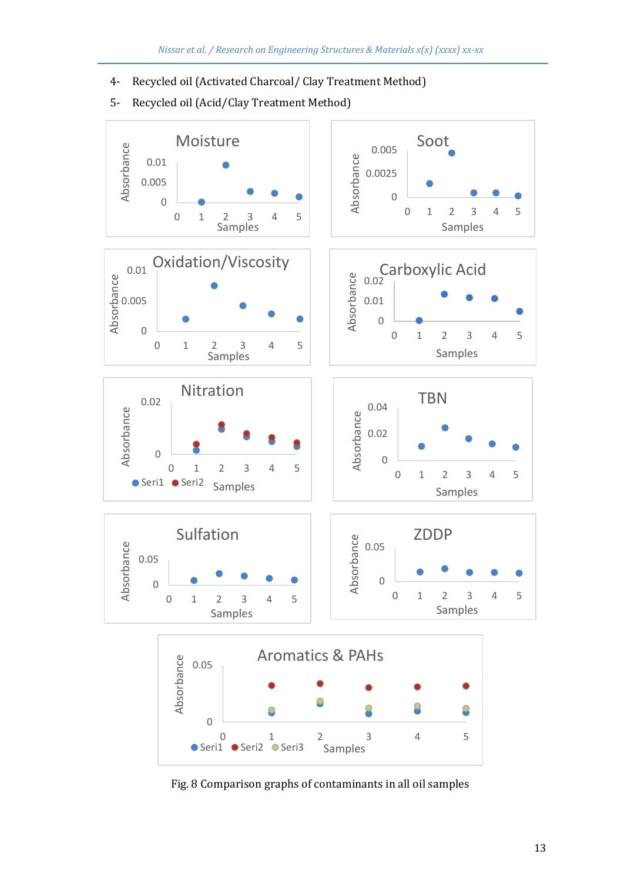4- Recycled oil (Activated Charcoal/ Clay Treatment Method)



5- Recycled oil (Acid/Clay Treatment Method)

Fig. 8 Comparison graphs of contaminants in all oil samples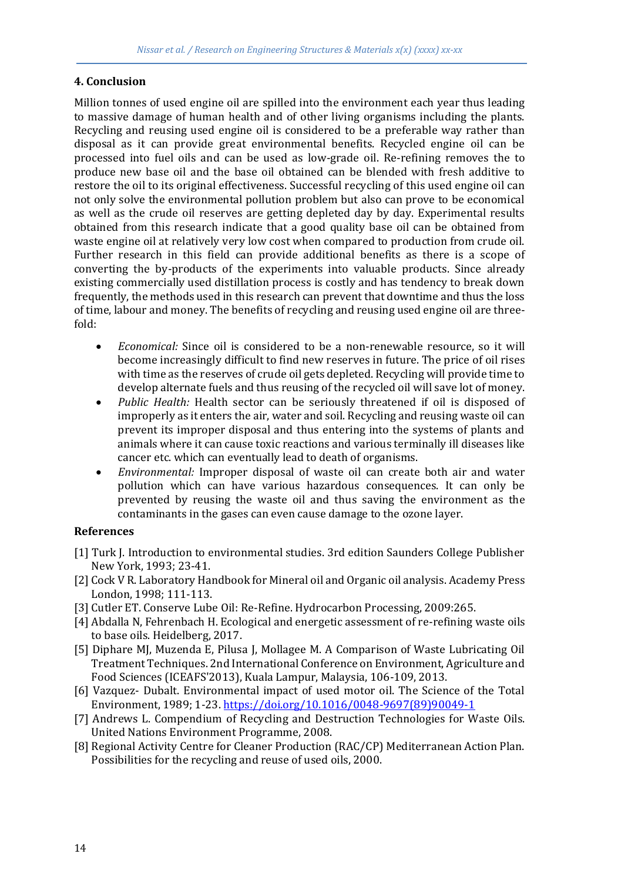#### **4. Conclusion**

Million tonnes of used engine oil are spilled into the environment each year thus leading to massive damage of human health and of other living organisms including the plants. Recycling and reusing used engine oil is considered to be a preferable way rather than disposal as it can provide great environmental benefits. Recycled engine oil can be processed into fuel oils and can be used as low-grade oil. Re-refining removes the to produce new base oil and the base oil obtained can be blended with fresh additive to restore the oil to its original effectiveness. Successful recycling of this used engine oil can not only solve the environmental pollution problem but also can prove to be economical as well as the crude oil reserves are getting depleted day by day. Experimental results obtained from this research indicate that a good quality base oil can be obtained from waste engine oil at relatively very low cost when compared to production from crude oil. Further research in this field can provide additional benefits as there is a scope of converting the by-products of the experiments into valuable products. Since already existing commercially used distillation process is costly and has tendency to break down frequently, the methods used in this research can prevent that downtime and thus the loss of time, labour and money. The benefits of recycling and reusing used engine oil are threefold:

- *Economical:* Since oil is considered to be a non-renewable resource, so it will become increasingly difficult to find new reserves in future. The price of oil rises with time as the reserves of crude oil gets depleted. Recycling will provide time to develop alternate fuels and thus reusing of the recycled oil will save lot of money.
- *Public Health:* Health sector can be seriously threatened if oil is disposed of improperly as it enters the air, water and soil. Recycling and reusing waste oil can prevent its improper disposal and thus entering into the systems of plants and animals where it can cause toxic reactions and various terminally ill diseases like cancer etc. which can eventually lead to death of organisms.
- *Environmental:* Improper disposal of waste oil can create both air and water pollution which can have various hazardous consequences. It can only be prevented by reusing the waste oil and thus saving the environment as the contaminants in the gases can even cause damage to the ozone layer.

# **References**

- [1] Turk J. Introduction to environmental studies. 3rd edition Saunders College Publisher New York, 1993; 23-41.
- [2] Cock V R. Laboratory Handbook for Mineral oil and Organic oil analysis. Academy Press London, 1998; 111-113.
- [3] Cutler ET. Conserve Lube Oil: Re-Refine. Hydrocarbon Processing, 2009:265.
- [4] Abdalla N, Fehrenbach H. Ecological and energetic assessment of re-refining waste oils to base oils. Heidelberg, 2017.
- [5] Diphare MJ, Muzenda E, Pilusa J, Mollagee M. A Comparison of Waste Lubricating Oil Treatment Techniques. 2nd International Conference on Environment, Agriculture and Food Sciences (ICEAFS'2013), Kuala Lampur, Malaysia, 106-109, 2013.
- [6] Vazquez- Dubalt. Environmental impact of used motor oil. The Science of the Total Environment, 1989; 1-23. [https://doi.org/10.1016/0048-9697\(89\)90049-1](https://doi.org/10.1016/0048-9697(89)90049-1)
- [7] Andrews L. Compendium of Recycling and Destruction Technologies for Waste Oils. United Nations Environment Programme, 2008.
- [8] Regional Activity Centre for Cleaner Production (RAC/CP) Mediterranean Action Plan. Possibilities for the recycling and reuse of used oils, 2000.